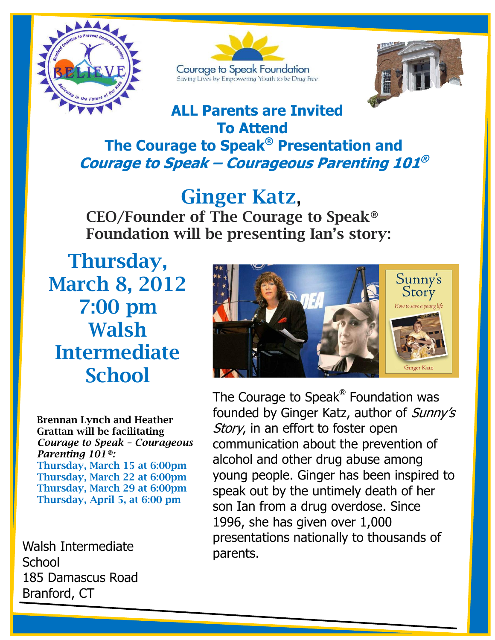





### **ALL Parents are Invited To Attend**

## **The Courage to Speak® Presentation and Courage to Speak – Courageous Parenting 101 ®**

# **Ginger Katz**,

**CEO/Founder of The Courage to Speak® Foundation will be presenting Ian's story:**

**Thursday, March 8, 2012 7:00 pm Walsh Intermediate School**



**Brennan Lynch and Heather Grattan will be facilitating**  *Courage to Speak – Courageous Parenting 101®:* **Thursday, March 15 at 6:00pm Thursday, March 22 at 6:00pm Thursday, March 29 at 6:00pm Thursday, April 5, at 6:00 pm**

 Walsh Intermediate **School** 185 Damascus Road Branford, CT

The Courage to Speak® Foundation was founded by Ginger Katz, author of Sunny's Story, in an effort to foster open communication about the prevention of alcohol and other drug abuse among young people. Ginger has been inspired to speak out by the untimely death of her son Ian from a drug overdose. Since 1996, she has given over 1,000 presentations nationally to thousands of parents.